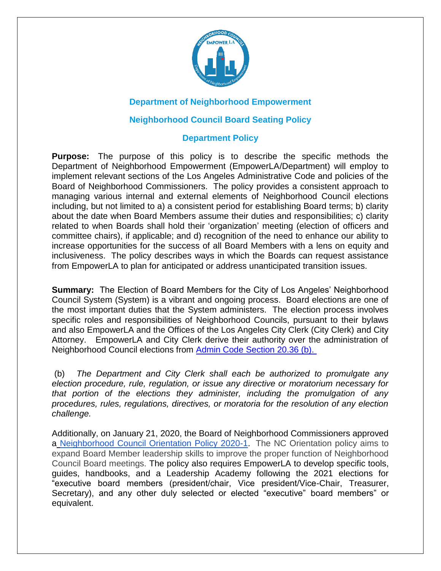

## **Department of Neighborhood Empowerment**

## **Neighborhood Council Board Seating Policy**

## **Department Policy**

**Purpose:** The purpose of this policy is to describe the specific methods the Department of Neighborhood Empowerment (EmpowerLA/Department) will employ to implement relevant sections of the Los Angeles Administrative Code and policies of the Board of Neighborhood Commissioners. The policy provides a consistent approach to managing various internal and external elements of Neighborhood Council elections including, but not limited to a) a consistent period for establishing Board terms; b) clarity about the date when Board Members assume their duties and responsibilities; c) clarity related to when Boards shall hold their 'organization' meeting (election of officers and committee chairs), if applicable; and d) recognition of the need to enhance our ability to increase opportunities for the success of all Board Members with a lens on equity and inclusiveness. The policy describes ways in which the Boards can request assistance from EmpowerLA to plan for anticipated or address unanticipated transition issues.

**Summary:** The Election of Board Members for the City of Los Angeles' Neighborhood Council System (System) is a vibrant and ongoing process. Board elections are one of the most important duties that the System administers. The election process involves specific roles and responsibilities of Neighborhood Councils, pursuant to their bylaws and also EmpowerLA and the Offices of the Los Angeles City Clerk (City Clerk) and City Attorney. EmpowerLA and City Clerk derive their authority over the administration of Neighborhood Council elections from [Admin Code Section 20.36 \(b\).](https://codelibrary.amlegal.com/codes/los_angeles/latest/laac/0-0-0-46413)

(b) *The Department and City Clerk shall each be authorized to promulgate any election procedure, rule, regulation, or issue any directive or moratorium necessary for that portion of the elections they administer, including the promulgation of any procedures, rules, regulations, directives, or moratoria for the resolution of any election challenge.*

Additionally, on January 21, 2020, the Board of Neighborhood Commissioners approved a [Neighborhood Council Orientation Policy 2020-1.](https://empowerla.org/wp-content/uploads/2020/04/NC-Leadership-Orientation-Policy-2020-01-30.pdf) The NC Orientation policy aims to expand Board Member leadership skills to improve the proper function of Neighborhood Council Board meetings. The policy also requires EmpowerLA to develop specific tools, guides, handbooks, and a Leadership Academy following the 2021 elections for "executive board members (president/chair, Vice president/Vice-Chair, Treasurer, Secretary), and any other duly selected or elected "executive" board members" or equivalent.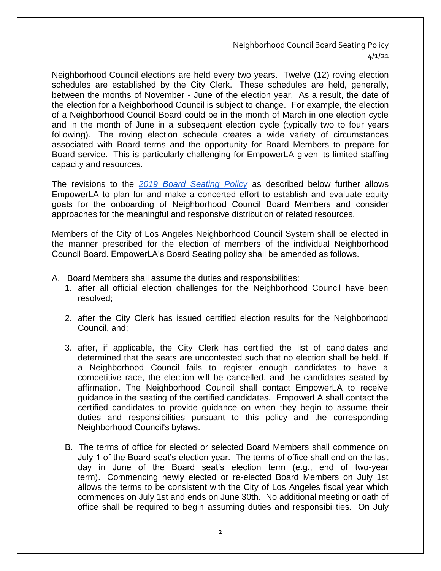Neighborhood Council Board Seating Policy 4/1/21

Neighborhood Council elections are held every two years. Twelve (12) roving election schedules are established by the City Clerk. These schedules are held, generally, between the months of November - June of the election year. As a result, the date of the election for a Neighborhood Council is subject to change. For example, the election of a Neighborhood Council Board could be in the month of March in one election cycle and in the month of June in a subsequent election cycle (typically two to four years following). The roving election schedule creates a wide variety of circumstances associated with Board terms and the opportunity for Board Members to prepare for Board service. This is particularly challenging for EmpowerLA given its limited staffing capacity and resources.

The revisions to the *2019 [Board Seating Policy](https://empowerla.org/neighborhood-council-board-seating-policy/)* as described below further allows EmpowerLA to plan for and make a concerted effort to establish and evaluate equity goals for the onboarding of Neighborhood Council Board Members and consider approaches for the meaningful and responsive distribution of related resources.

Members of the City of Los Angeles Neighborhood Council System shall be elected in the manner prescribed for the election of members of the individual Neighborhood Council Board. EmpowerLA's Board Seating policy shall be amended as follows.

- A. Board Members shall assume the duties and responsibilities:
	- 1. after all official election challenges for the Neighborhood Council have been resolved;
	- 2. after the City Clerk has issued certified election results for the Neighborhood Council, and;
	- 3. after, if applicable, the City Clerk has certified the list of candidates and determined that the seats are uncontested such that no election shall be held. If a Neighborhood Council fails to register enough candidates to have a competitive race, the election will be cancelled, and the candidates seated by affirmation. The Neighborhood Council shall contact EmpowerLA to receive guidance in the seating of the certified candidates. EmpowerLA shall contact the certified candidates to provide guidance on when they begin to assume their duties and responsibilities pursuant to this policy and the corresponding Neighborhood Council's bylaws.
	- B. The terms of office for elected or selected Board Members shall commence on July 1 of the Board seat's election year. The terms of office shall end on the last day in June of the Board seat's election term (e.g., end of two-year term). Commencing newly elected or re-elected Board Members on July 1st allows the terms to be consistent with the City of Los Angeles fiscal year which commences on July 1st and ends on June 30th. No additional meeting or oath of office shall be required to begin assuming duties and responsibilities. On July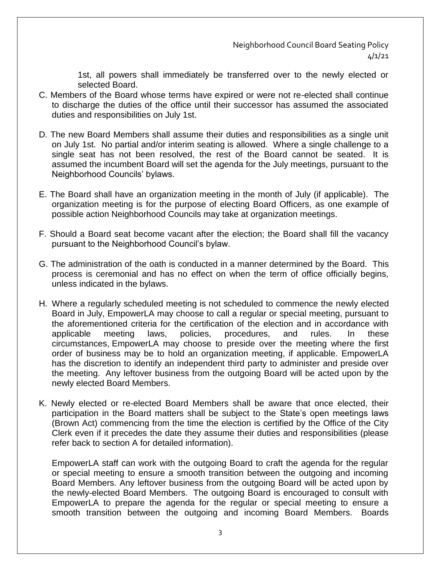1st, all powers shall immediately be transferred over to the newly elected or selected Board.

- C. Members of the Board whose terms have expired or were not re-elected shall continue to discharge the duties of the office until their successor has assumed the associated duties and responsibilities on July 1st.
- D. The new Board Members shall assume their duties and responsibilities as a single unit on July 1st. No partial and/or interim seating is allowed. Where a single challenge to a single seat has not been resolved, the rest of the Board cannot be seated. It is assumed the incumbent Board will set the agenda for the July meetings, pursuant to the Neighborhood Councils' bylaws.
- E. The Board shall have an organization meeting in the month of July (if applicable). The organization meeting is for the purpose of electing Board Officers, as one example of possible action Neighborhood Councils may take at organization meetings.
- F. Should a Board seat become vacant after the election; the Board shall fill the vacancy pursuant to the Neighborhood Council's bylaw.
- G. The administration of the oath is conducted in a manner determined by the Board. This process is ceremonial and has no effect on when the term of office officially begins, unless indicated in the bylaws.
- H. Where a regularly scheduled meeting is not scheduled to commence the newly elected Board in July, EmpowerLA may choose to call a regular or special meeting, pursuant to the aforementioned criteria for the certification of the election and in accordance with applicable meeting laws, policies, procedures, and rules. In these circumstances, EmpowerLA may choose to preside over the meeting where the first order of business may be to hold an organization meeting, if applicable. EmpowerLA has the discretion to identify an independent third party to administer and preside over the meeting. Any leftover business from the outgoing Board will be acted upon by the newly elected Board Members.
- K. Newly elected or re-elected Board Members shall be aware that once elected, their participation in the Board matters shall be subject to the State's open meetings laws (Brown Act) commencing from the time the election is certified by the Office of the City Clerk even if it precedes the date they assume their duties and responsibilities (please refer back to section A for detailed information).

EmpowerLA staff can work with the outgoing Board to craft the agenda for the regular or special meeting to ensure a smooth transition between the outgoing and incoming Board Members. Any leftover business from the outgoing Board will be acted upon by the newly-elected Board Members. The outgoing Board is encouraged to consult with EmpowerLA to prepare the agenda for the regular or special meeting to ensure a smooth transition between the outgoing and incoming Board Members. Boards